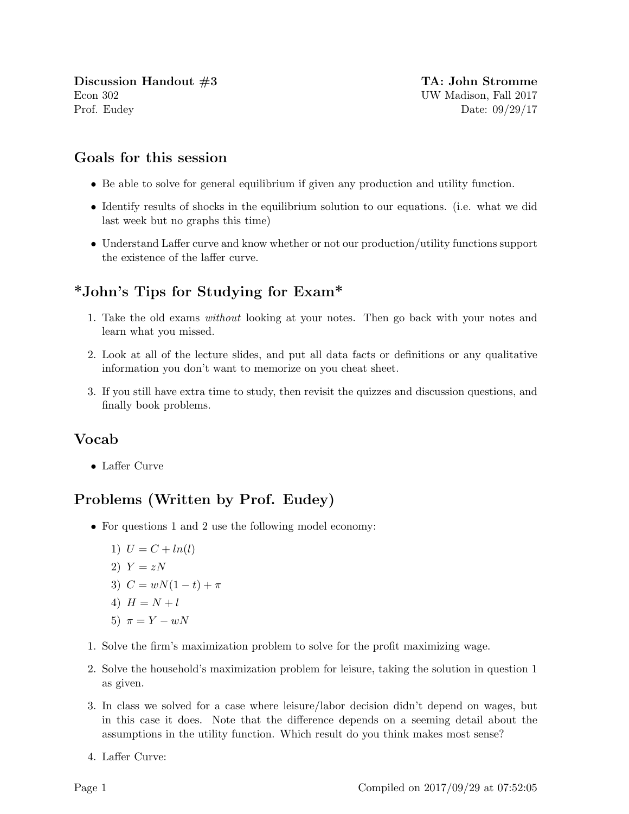Discussion Handout  $\#3$  TA: John Stromme Econ 302 UW Madison, Fall 2017 Prof. Eudey Date: 09/29/17

## Goals for this session

- Be able to solve for general equilibrium if given any production and utility function.
- Identify results of shocks in the equilibrium solution to our equations. (i.e. what we did last week but no graphs this time)
- Understand Laffer curve and know whether or not our production/utility functions support the existence of the laffer curve.

## \*John's Tips for Studying for Exam\*

- 1. Take the old exams without looking at your notes. Then go back with your notes and learn what you missed.
- 2. Look at all of the lecture slides, and put all data facts or definitions or any qualitative information you don't want to memorize on you cheat sheet.
- 3. If you still have extra time to study, then revisit the quizzes and discussion questions, and finally book problems.

## Vocab

• Laffer Curve

## Problems (Written by Prof. Eudey)

- For questions 1 and 2 use the following model economy:
	- 1)  $U = C + ln(l)$
	- 2)  $Y = zN$
	- 3)  $C = wN(1-t) + \pi$
	- 4)  $H = N + l$
	- 5)  $\pi = Y wN$
- 1. Solve the firm's maximization problem to solve for the profit maximizing wage.
- 2. Solve the household's maximization problem for leisure, taking the solution in question 1 as given.
- 3. In class we solved for a case where leisure/labor decision didn't depend on wages, but in this case it does. Note that the difference depends on a seeming detail about the assumptions in the utility function. Which result do you think makes most sense?
- 4. Laffer Curve: